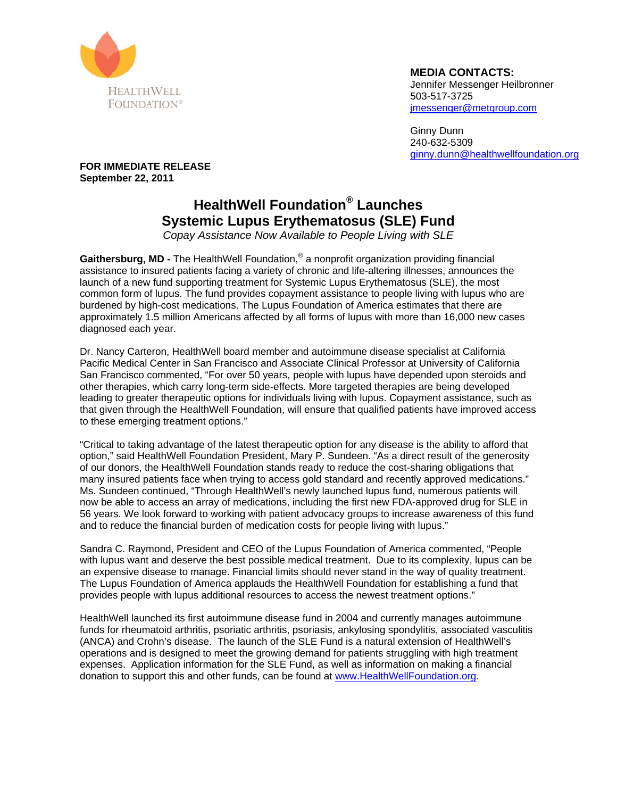

**MEDIA CONTACTS:**  Jennifer Messenger Heilbronner 503-517-3725 jmessenger@metgroup.com

Ginny Dunn 240-632-5309 ginny.dunn@healthwellfoundation.org

**FOR IMMEDIATE RELEASE September 22, 2011** 

## **HealthWell Foundation® Launches Systemic Lupus Erythematosus (SLE) Fund**

*Copay Assistance Now Available to People Living with SLE* 

Gaithersburg, MD - The HealthWell Foundation,<sup>®</sup> a nonprofit organization providing financial assistance to insured patients facing a variety of chronic and life-altering illnesses, announces the launch of a new fund supporting treatment for Systemic Lupus Erythematosus (SLE), the most common form of lupus. The fund provides copayment assistance to people living with lupus who are burdened by high-cost medications. The Lupus Foundation of America estimates that there are approximately 1.5 million Americans affected by all forms of lupus with more than 16,000 new cases diagnosed each year.

Dr. Nancy Carteron, HealthWell board member and autoimmune disease specialist at California Pacific Medical Center in San Francisco and Associate Clinical Professor at University of California San Francisco commented, "For over 50 years, people with lupus have depended upon steroids and other therapies, which carry long-term side-effects. More targeted therapies are being developed leading to greater therapeutic options for individuals living with lupus. Copayment assistance, such as that given through the HealthWell Foundation, will ensure that qualified patients have improved access to these emerging treatment options."

"Critical to taking advantage of the latest therapeutic option for any disease is the ability to afford that option," said HealthWell Foundation President, Mary P. Sundeen. "As a direct result of the generosity of our donors, the HealthWell Foundation stands ready to reduce the cost-sharing obligations that many insured patients face when trying to access gold standard and recently approved medications." Ms. Sundeen continued, "Through HealthWell's newly launched lupus fund, numerous patients will now be able to access an array of medications, including the first new FDA-approved drug for SLE in 56 years. We look forward to working with patient advocacy groups to increase awareness of this fund and to reduce the financial burden of medication costs for people living with lupus."

Sandra C. Raymond, President and CEO of the Lupus Foundation of America commented, "People with lupus want and deserve the best possible medical treatment. Due to its complexity, lupus can be an expensive disease to manage. Financial limits should never stand in the way of quality treatment. The Lupus Foundation of America applauds the HealthWell Foundation for establishing a fund that provides people with lupus additional resources to access the newest treatment options."

HealthWell launched its first autoimmune disease fund in 2004 and currently manages autoimmune funds for rheumatoid arthritis, psoriatic arthritis, psoriasis, ankylosing spondylitis, associated vasculitis (ANCA) and Crohn's disease. The launch of the SLE Fund is a natural extension of HealthWell's operations and is designed to meet the growing demand for patients struggling with high treatment expenses. Application information for the SLE Fund, as well as information on making a financial donation to support this and other funds, can be found at www.HealthWellFoundation.org.